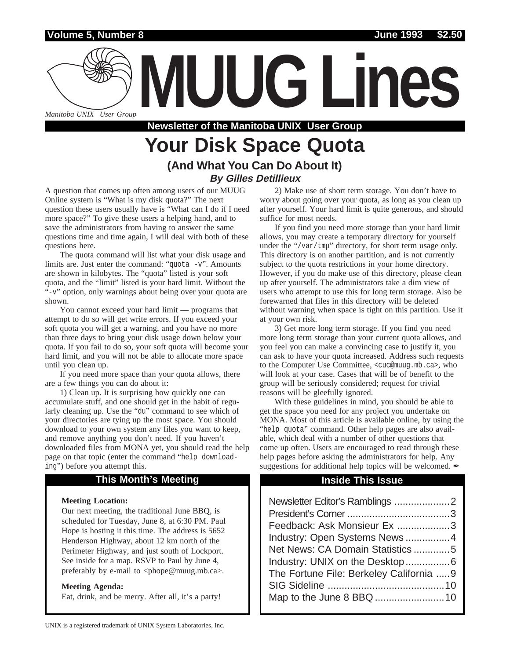## **Volume 5, Number 8 June 1993 \$2.50**

*Manitoba UNIX User Group*

**Newsletter of the Manitoba UNIX User Group**

# **Your Disk Space Quota (And What You Can Do About It) By Gilles Detillieux**

A question that comes up often among users of our MUUG Online system is "What is my disk quota?" The next question these users usually have is "What can I do if I need more space?" To give these users a helping hand, and to save the administrators from having to answer the same questions time and time again, I will deal with both of these questions here.

The quota command will list what your disk usage and limits are. Just enter the command: "quota -v". Amounts are shown in kilobytes. The "quota" listed is your soft quota, and the "limit" listed is your hard limit. Without the "-v" option, only warnings about being over your quota are shown.

You cannot exceed your hard limit — programs that attempt to do so will get write errors. If you exceed your soft quota you will get a warning, and you have no more than three days to bring your disk usage down below your quota. If you fail to do so, your soft quota will become your hard limit, and you will not be able to allocate more space until you clean up.

If you need more space than your quota allows, there are a few things you can do about it:

1) Clean up. It is surprising how quickly one can accumulate stuff, and one should get in the habit of regularly cleaning up. Use the "du" command to see which of your directories are tying up the most space. You should download to your own system any files you want to keep, and remove anything you don't need. If you haven't downloaded files from MONA yet, you should read the help page on that topic (enter the command "help downloading") before you attempt this.

### **This Month's Meeting Inside This Issue**

### **Meeting Location:**

Our next meeting, the traditional June BBQ, is scheduled for Tuesday, June 8, at 6:30 PM. Paul Hope is hosting it this time. The address is 5652 Henderson Highway, about 12 km north of the Perimeter Highway, and just south of Lockport. See inside for a map. RSVP to Paul by June 4, preferably by e-mail to <phope@muug.mb.ca>.

#### **Meeting Agenda:**

Eat, drink, and be merry. After all, it's a party!

2) Make use of short term storage. You don't have to worry about going over your quota, as long as you clean up after yourself. Your hard limit is quite generous, and should suffice for most needs.

**MUUG Lines**

If you find you need more storage than your hard limit allows, you may create a temporary directory for yourself under the "/var/tmp" directory, for short term usage only. This directory is on another partition, and is not currently subject to the quota restrictions in your home directory. However, if you do make use of this directory, please clean up after yourself. The administrators take a dim view of users who attempt to use this for long term storage. Also be forewarned that files in this directory will be deleted without warning when space is tight on this partition. Use it at your own risk.

3) Get more long term storage. If you find you need more long term storage than your current quota allows, and you feel you can make a convincing case to justify it, you can ask to have your quota increased. Address such requests to the Computer Use Committee, <cuc@muug.mb.ca>, who will look at your case. Cases that will be of benefit to the group will be seriously considered; request for trivial reasons will be gleefully ignored.

With these guidelines in mind, you should be able to get the space you need for any project you undertake on MONA. Most of this article is available online, by using the "help quota" command. Other help pages are also available, which deal with a number of other questions that come up often. Users are encouraged to read through these help pages before asking the administrators for help. Any suggestions for additional help topics will be welcomed.  $\mathscr I$ 

| Newsletter Editor's Ramblings 2         |  |
|-----------------------------------------|--|
|                                         |  |
| Feedback: Ask Monsieur Ex 3             |  |
| Industry: Open Systems News4            |  |
| Net News: CA Domain Statistics 5        |  |
|                                         |  |
| The Fortune File: Berkeley California 9 |  |
|                                         |  |
|                                         |  |
|                                         |  |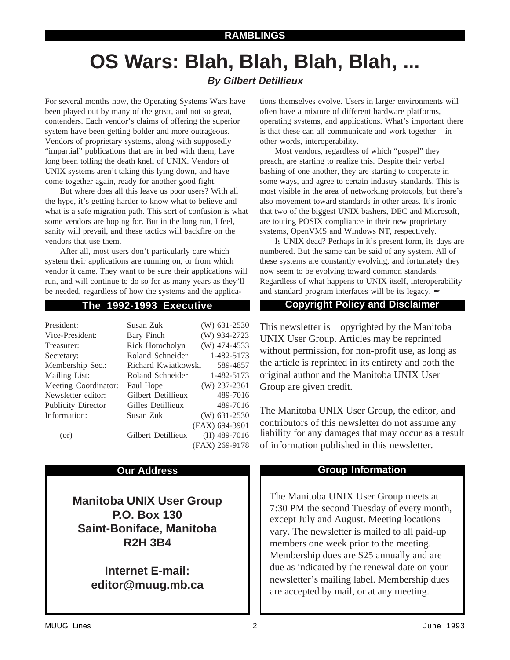# **RAMBLINGS**

# **OS Wars: Blah, Blah, Blah, Blah, ... By Gilbert Detillieux**

For several months now, the Operating Systems Wars have been played out by many of the great, and not so great, contenders. Each vendor's claims of offering the superior system have been getting bolder and more outrageous. Vendors of proprietary systems, along with supposedly "impartial" publications that are in bed with them, have long been tolling the death knell of UNIX. Vendors of UNIX systems aren't taking this lying down, and have come together again, ready for another good fight.

But where does all this leave us poor users? With all the hype, it's getting harder to know what to believe and what is a safe migration path. This sort of confusion is what some vendors are hoping for. But in the long run, I feel, sanity will prevail, and these tactics will backfire on the vendors that use them.

After all, most users don't particularly care which system their applications are running on, or from which vendor it came. They want to be sure their applications will run, and will continue to do so for as many years as they'll be needed, regardless of how the systems and the applica-

| President:                | Susan Zuk           | $(W)$ 631-2530 |
|---------------------------|---------------------|----------------|
| Vice-President:           | Bary Finch          | (W) 934-2723   |
| Treasurer:                | Rick Horocholyn     | $(W)$ 474-4533 |
| Secretary:                | Roland Schneider    | 1-482-5173     |
| Membership Sec.:          | Richard Kwiatkowski | 589-4857       |
| Mailing List:             | Roland Schneider    | 1-482-5173     |
| Meeting Coordinator:      | Paul Hope           | $(W)$ 237-2361 |
| Newsletter editor:        | Gilbert Detillieux  | 489-7016       |
| <b>Publicity Director</b> | Gilles Detillieux   | 489-7016       |
| Information:              | Susan Zuk           | $(W)$ 631-2530 |
|                           |                     | (FAX) 694-3901 |
| (or)                      | Gilbert Detillieux  | $(H)$ 489-7016 |
|                           |                     | (FAX) 269-9178 |

**Manitoba UNIX User Group P.O. Box 130 Saint-Boniface, Manitoba R2H 3B4**

> **Internet E-mail: editor@muug.mb.ca**

tions themselves evolve. Users in larger environments will often have a mixture of different hardware platforms, operating systems, and applications. What's important there is that these can all communicate and work together – in other words, interoperability.

Most vendors, regardless of which "gospel" they preach, are starting to realize this. Despite their verbal bashing of one another, they are starting to cooperate in some ways, and agree to certain industry standards. This is most visible in the area of networking protocols, but there's also movement toward standards in other areas. It's ironic that two of the biggest UNIX bashers, DEC and Microsoft, are touting POSIX compliance in their new proprietary systems, OpenVMS and Windows NT, respectively.

Is UNIX dead? Perhaps in it's present form, its days are numbered. But the same can be said of any system. All of these systems are constantly evolving, and fortunately they now seem to be evolving toward common standards. Regardless of what happens to UNIX itself, interoperability and standard program interfaces will be its legacy.  $\mathscr I$ 

## **The 1992-1993 Executive Copyright Policy and Disclaimer**

This newsletter is Copyrighted by the Manitoba UNIX User Group. Articles may be reprinted without permission, for non-profit use, as long as the article is reprinted in its entirety and both the original author and the Manitoba UNIX User Group are given credit.

The Manitoba UNIX User Group, the editor, and contributors of this newsletter do not assume any liability for any damages that may occur as a result of information published in this newsletter.

## **Our Address Community Community Community Community Community Community Community Community Community Community**

The Manitoba UNIX User Group meets at 7:30 PM the second Tuesday of every month, except July and August. Meeting locations vary. The newsletter is mailed to all paid-up members one week prior to the meeting. Membership dues are \$25 annually and are due as indicated by the renewal date on your newsletter's mailing label. Membership dues are accepted by mail, or at any meeting.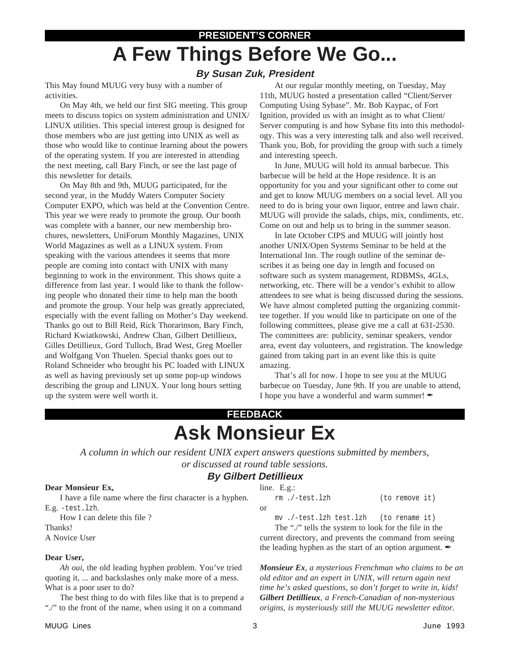# **PRESIDENT'S CORNER A Few Things Before We Go...**

# **By Susan Zuk, President**

This May found MUUG very busy with a number of activities.

On May 4th, we held our first SIG meeting. This group meets to discuss topics on system administration and UNIX/ LINUX utilities. This special interest group is designed for those members who are just getting into UNIX as well as those who would like to continue learning about the powers of the operating system. If you are interested in attending the next meeting, call Bary Finch, or see the last page of this newsletter for details.

On May 8th and 9th, MUUG participated, for the second year, in the Muddy Waters Computer Society Computer EXPO, which was held at the Convention Centre. This year we were ready to promote the group. Our booth was complete with a banner, our new membership brochures, newsletters, UniForum Monthly Magazines, UNIX World Magazines as well as a LINUX system. From speaking with the various attendees it seems that more people are coming into contact with UNIX with many beginning to work in the environment. This shows quite a difference from last year. I would like to thank the following people who donated their time to help man the booth and promote the group. Your help was greatly appreciated, especially with the event falling on Mother's Day weekend. Thanks go out to Bill Reid, Rick Thorarinson, Bary Finch, Richard Kwiatkowski, Andrew Chan, Gilbert Detillieux, Gilles Detillieux, Gord Tulloch, Brad West, Greg Moeller and Wolfgang Von Thuelen. Special thanks goes out to Roland Schneider who brought his PC loaded with LINUX as well as having previously set up some pop-up windows describing the group and LINUX. Your long hours setting up the system were well worth it.

At our regular monthly meeting, on Tuesday, May 11th, MUUG hosted a presentation called "Client/Server Computing Using Sybase". Mr. Bob Kaypac, of Fort Ignition, provided us with an insight as to what Client/ Server computing is and how Sybase fits into this methodology. This was a very interesting talk and also well received. Thank you, Bob, for providing the group with such a timely and interesting speech.

In June, MUUG will hold its annual barbecue. This barbecue will be held at the Hope residence. It is an opportunity for you and your significant other to come out and get to know MUUG members on a social level. All you need to do is bring your own liquor, entree and lawn chair. MUUG will provide the salads, chips, mix, condiments, etc. Come on out and help us to bring in the summer season.

In late October CIPS and MUUG will jointly host another UNIX/Open Systems Seminar to be held at the International Inn. The rough outline of the seminar describes it as being one day in length and focused on software such as system management, RDBMSs, 4GLs, networking, etc. There will be a vendor's exhibit to allow attendees to see what is being discussed during the sessions. We have almost completed putting the organizing committee together. If you would like to participate on one of the following committees, please give me a call at 631-2530. The committees are: publicity, seminar speakers, vendor area, event day volunteers, and registration. The knowledge gained from taking part in an event like this is quite amazing.

That's all for now. I hope to see you at the MUUG barbecue on Tuesday, June 9th. If you are unable to attend, I hope you have a wonderful and warm summer!

# **FEEDBACK Ask Monsieur Ex**

*A column in which our resident UNIX expert answers questions submitted by members, or discussed at round table sessions.*

# **By Gilbert Detillieux**

### **Dear Monsieur Ex,**

I have a file name where the first character is a hyphen. E.g. -test.lzh.

How I can delete this file ? Thanks!

A Novice User

### **Dear User,**

*Ah oui*, the old leading hyphen problem. You've tried quoting it, ... and backslashes only make more of a mess. What is a poor user to do?

The best thing to do with files like that is to prepend a "./" to the front of the name, when using it on a command

|           | rm./-test.lzh | (to remove it) |  |
|-----------|---------------|----------------|--|
| <b>or</b> |               |                |  |

line. E.g.:

mv ./-test.lzh test.lzh (to rename it) The "./" tells the system to look for the file in the

current directory, and prevents the command from seeing the leading hyphen as the start of an option argument.  $\mathscr I$ 

*Monsieur Ex, a mysterious Frenchman who claims to be an old editor and an expert in UNIX, will return again next time he's asked questions, so don't forget to write in, kids! Gilbert Detillieux, a French-Canadian of non-mysterious origins, is mysteriously still the MUUG newsletter editor.*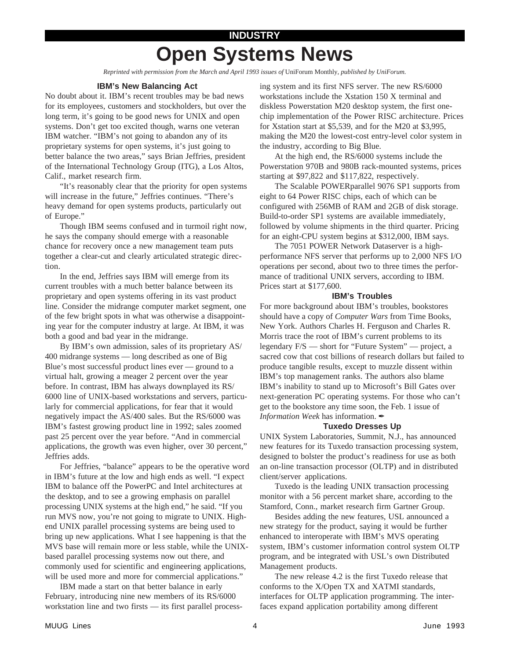# **INDUSTRY Open Systems News**

*Reprinted with permission from the March and April 1993 issues of* UniForum Monthly*, published by UniForum.*

#### **IBM's New Balancing Act**

No doubt about it. IBM's recent troubles may be bad news for its employees, customers and stockholders, but over the long term, it's going to be good news for UNIX and open systems. Don't get too excited though, warns one veteran IBM watcher. "IBM's not going to abandon any of its proprietary systems for open systems, it's just going to better balance the two areas," says Brian Jeffries, president of the International Technology Group (ITG), a Los Altos, Calif., market research firm.

"It's reasonably clear that the priority for open systems will increase in the future," Jeffries continues. "There's heavy demand for open systems products, particularly out of Europe."

Though IBM seems confused and in turmoil right now, he says the company should emerge with a reasonable chance for recovery once a new management team puts together a clear-cut and clearly articulated strategic direction.

In the end, Jeffries says IBM will emerge from its current troubles with a much better balance between its proprietary and open systems offering in its vast product line. Consider the midrange computer market segment, one of the few bright spots in what was otherwise a disappointing year for the computer industry at large. At IBM, it was both a good and bad year in the midrange.

By IBM's own admission, sales of its proprietary AS/ 400 midrange systems — long described as one of Big Blue's most successful product lines ever — ground to a virtual halt, growing a meager 2 percent over the year before. In contrast, IBM has always downplayed its RS/ 6000 line of UNIX-based workstations and servers, particularly for commercial applications, for fear that it would negatively impact the AS/400 sales. But the RS/6000 was IBM's fastest growing product line in 1992; sales zoomed past 25 percent over the year before. "And in commercial applications, the growth was even higher, over 30 percent," Jeffries adds.

For Jeffries, "balance" appears to be the operative word in IBM's future at the low and high ends as well. "I expect IBM to balance off the PowerPC and Intel architectures at the desktop, and to see a growing emphasis on parallel processing UNIX systems at the high end," he said. "If you run MVS now, you're not going to migrate to UNIX. Highend UNIX parallel processing systems are being used to bring up new applications. What I see happening is that the MVS base will remain more or less stable, while the UNIXbased parallel processing systems now out there, and commonly used for scientific and engineering applications, will be used more and more for commercial applications."

IBM made a start on that better balance in early February, introducing nine new members of its RS/6000 workstation line and two firsts — its first parallel processing system and its first NFS server. The new RS/6000 workstations include the Xstation 150 X terminal and diskless Powerstation M20 desktop system, the first onechip implementation of the Power RISC architecture. Prices for Xstation start at \$5,539, and for the M20 at \$3,995, making the M20 the lowest-cost entry-level color system in the industry, according to Big Blue.

At the high end, the RS/6000 systems include the Powerstation 970B and 980B rack-mounted systems, prices starting at \$97,822 and \$117,822, respectively.

The Scalable POWERparallel 9076 SP1 supports from eight to 64 Power RISC chips, each of which can be configured with 256MB of RAM and 2GB of disk storage. Build-to-order SP1 systems are available immediately, followed by volume shipments in the third quarter. Pricing for an eight-CPU system begins at \$312,000, IBM says.

The 7051 POWER Network Dataserver is a highperformance NFS server that performs up to 2,000 NFS I/O operations per second, about two to three times the performance of traditional UNIX servers, according to IBM. Prices start at \$177,600.

#### **IBM's Troubles**

For more background about IBM's troubles, bookstores should have a copy of *Computer Wars* from Time Books, New York. Authors Charles H. Ferguson and Charles R. Morris trace the root of IBM's current problems to its legendary F/S — short for "Future System" — project, a sacred cow that cost billions of research dollars but failed to produce tangible results, except to muzzle dissent within IBM's top management ranks. The authors also blame IBM's inability to stand up to Microsoft's Bill Gates over next-generation PC operating systems. For those who can't get to the bookstore any time soon, the Feb. 1 issue of *Information Week* has information.

#### **Tuxedo Dresses Up**

UNIX System Laboratories, Summit, N.J., has announced new features for its Tuxedo transaction processing system, designed to bolster the product's readiness for use as both an on-line transaction processor (OLTP) and in distributed client/server applications.

Tuxedo is the leading UNIX transaction processing monitor with a 56 percent market share, according to the Stamford, Conn., market research firm Gartner Group.

Besides adding the new features, USL announced a new strategy for the product, saying it would be further enhanced to interoperate with IBM's MVS operating system, IBM's customer information control system OLTP program, and be integrated with USL's own Distributed Management products.

The new release 4.2 is the first Tuxedo release that conforms to the X/Open TX and XATMI standards, interfaces for OLTP application programming. The interfaces expand application portability among different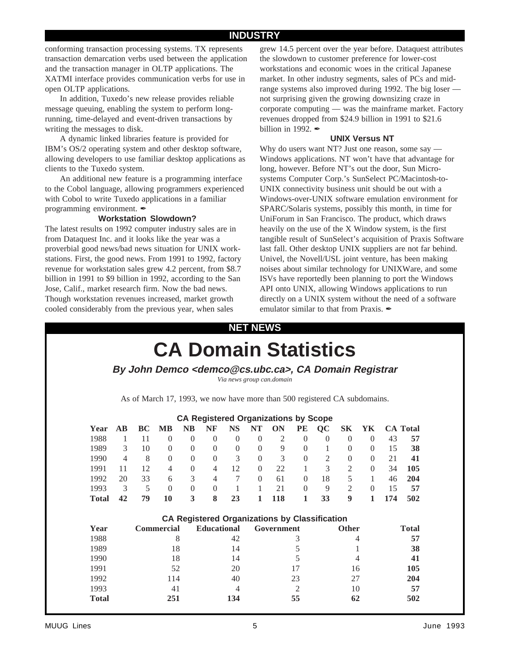## **INDUSTRY**

conforming transaction processing systems. TX represents transaction demarcation verbs used between the application and the transaction manager in OLTP applications. The XATMI interface provides communication verbs for use in open OLTP applications.

In addition, Tuxedo's new release provides reliable message queuing, enabling the system to perform longrunning, time-delayed and event-driven transactions by writing the messages to disk.

A dynamic linked libraries feature is provided for IBM's OS/2 operating system and other desktop software, allowing developers to use familiar desktop applications as clients to the Tuxedo system.

An additional new feature is a programming interface to the Cobol language, allowing programmers experienced with Cobol to write Tuxedo applications in a familiar programming environment.  $\mathscr{I}$ 

#### **Workstation Slowdown?**

The latest results on 1992 computer industry sales are in from Dataquest Inc. and it looks like the year was a proverbial good news/bad news situation for UNIX workstations. First, the good news. From 1991 to 1992, factory revenue for workstation sales grew 4.2 percent, from \$8.7 billion in 1991 to \$9 billion in 1992, according to the San Jose, Calif., market research firm. Now the bad news. Though workstation revenues increased, market growth cooled considerably from the previous year, when sales

grew 14.5 percent over the year before. Dataquest attributes the slowdown to customer preference for lower-cost workstations and economic woes in the critical Japanese market. In other industry segments, sales of PCs and midrange systems also improved during 1992. The big loser not surprising given the growing downsizing craze in corporate computing — was the mainframe market. Factory revenues dropped from \$24.9 billion in 1991 to \$21.6 billion in 1992.  $\blacktriangle$ 

#### **UNIX Versus NT**

Why do users want NT? Just one reason, some say — Windows applications. NT won't have that advantage for long, however. Before NT's out the door, Sun Microsystems Computer Corp.'s SunSelect PC/Macintosh-to-UNIX connectivity business unit should be out with a Windows-over-UNIX software emulation environment for SPARC/Solaris systems, possibly this month, in time for UniForum in San Francisco. The product, which draws heavily on the use of the X Window system, is the first tangible result of SunSelect's acquisition of Praxis Software last fall. Other desktop UNIX suppliers are not far behind. Univel, the Novell/USL joint venture, has been making noises about similar technology for UNIXWare, and some ISVs have reportedly been planning to port the Windows API onto UNIX, allowing Windows applications to run directly on a UNIX system without the need of a software emulator similar to that from Praxis.  $\mathscr I$ 

# **NET NEWS**

|              |                        |    |                                                                           |                |                    |                 | Via news group can.domain |                                                      |              |                |                |                |     |                 |
|--------------|------------------------|----|---------------------------------------------------------------------------|----------------|--------------------|-----------------|---------------------------|------------------------------------------------------|--------------|----------------|----------------|----------------|-----|-----------------|
|              |                        |    | As of March 17, 1993, we now have more than 500 registered CA subdomains. |                |                    |                 |                           |                                                      |              |                |                |                |     |                 |
|              |                        |    |                                                                           |                |                    |                 |                           | <b>CA Registered Organizations by Scope</b>          |              |                |                |                |     |                 |
| Year         | $\mathbf{A}\mathbf{B}$ | BC | <b>MB</b>                                                                 | <b>NB</b>      | <b>NF</b>          | <b>NS</b>       | NT                        | ON                                                   | <b>PE</b>    | QC             | S <sub>K</sub> | YK             |     | <b>CA</b> Total |
| 1988         | $\mathbf{1}$           | 11 | $\Omega$                                                                  | $\Omega$       | $\Omega$           | $\Omega$        | $\Omega$                  | 2                                                    | $\theta$     | $\theta$       | $\Omega$       | $\Omega$       | 43  | 57              |
| 1989         | 3                      | 10 | $\Omega$                                                                  | $\Omega$       | $\Omega$           | $\Omega$        | $\Omega$                  | 9                                                    | $\Omega$     | $\mathbf{1}$   | $\Omega$       | $\Omega$       | 15  | 38              |
| 1990         | $\overline{4}$         | 8  | $\mathbf{0}$                                                              | $\overline{0}$ | $\overline{0}$     | 3               | $\overline{0}$            | 3                                                    | $\Omega$     | 2              | $\mathbf{0}$   | $\Omega$       | 21  | 41              |
| 1991         | 11                     | 12 | 4                                                                         | $\overline{0}$ | $\overline{4}$     | 12              | $\overline{0}$            | 22                                                   | $\mathbf{1}$ | $\overline{3}$ | 2              | $\overline{0}$ | 34  | 105             |
| 1992         | 20                     | 33 | 6                                                                         | 3              | $\overline{4}$     | $7\phantom{.0}$ | $\Omega$                  | 61                                                   | $\Omega$     | 18             | 5              | $\mathbf{1}$   | 46  | 204             |
| 1993         | 3                      | 5  | $\Omega$                                                                  | $\Omega$       | $\Omega$           | -1              | $\mathbf{1}$              | 21                                                   | $\Omega$     | 9              | $\overline{2}$ | $\Omega$       | 15  | 57              |
| <b>Total</b> | 42                     | 79 | 10                                                                        | 3              | 8                  | 23              | $\mathbf{1}$              | 118                                                  | 1            | 33             | 9              | $\mathbf{1}$   | 174 | 502             |
|              |                        |    |                                                                           |                |                    |                 |                           | <b>CA Registered Organizations by Classification</b> |              |                |                |                |     |                 |
| Year         |                        |    | Commercial                                                                |                | <b>Educational</b> |                 |                           | Government                                           |              |                | <b>Other</b>   |                |     | <b>Total</b>    |
| 1988         |                        | 8  |                                                                           |                |                    | 42              | 3                         |                                                      |              | 4              |                |                | 57  |                 |
| 1989         |                        | 18 |                                                                           |                |                    | 14              |                           | 5                                                    |              |                |                | 1              |     | 38              |
| 1990         |                        | 18 |                                                                           |                |                    | 14              |                           |                                                      | 5            |                |                | 4              |     | 41              |
| 1991         |                        | 52 |                                                                           | 20<br>17       |                    | 16              |                           |                                                      |              | 105            |                |                |     |                 |
| 1992         |                        |    | 114                                                                       |                |                    | 40              |                           |                                                      | 23           |                | 27             |                |     | 204             |
| 1993         |                        |    | 41                                                                        |                |                    | 4               |                           |                                                      | 2            |                | 10             |                |     | 57              |
| <b>Total</b> |                        |    | 251                                                                       |                |                    | 134             |                           |                                                      | 55           |                | 62             |                |     | 502             |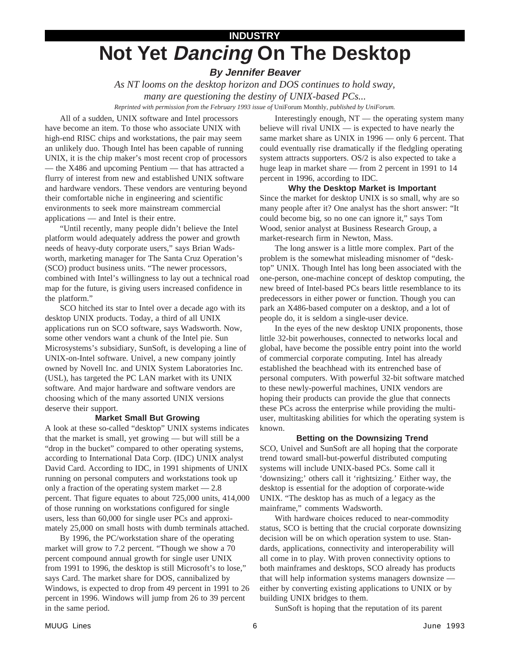# **INDUSTRY Not Yet Dancing On The Desktop**

# **By Jennifer Beaver**

*As NT looms on the desktop horizon and DOS continues to hold sway, many are questioning the destiny of UNIX-based PCs...*

*Reprinted with permission from the February 1993 issue of* UniForum Monthly*, published by UniForum.*

All of a sudden, UNIX software and Intel processors have become an item. To those who associate UNIX with high-end RISC chips and workstations, the pair may seem an unlikely duo. Though Intel has been capable of running UNIX, it is the chip maker's most recent crop of processors — the X486 and upcoming Pentium — that has attracted a flurry of interest from new and established UNIX software and hardware vendors. These vendors are venturing beyond their comfortable niche in engineering and scientific environments to seek more mainstream commercial applications — and Intel is their entre.

"Until recently, many people didn't believe the Intel platform would adequately address the power and growth needs of heavy-duty corporate users," says Brian Wadsworth, marketing manager for The Santa Cruz Operation's (SCO) product business units. "The newer processors, combined with Intel's willingness to lay out a technical road map for the future, is giving users increased confidence in the platform."

SCO hitched its star to Intel over a decade ago with its desktop UNIX products. Today, a third of all UNIX applications run on SCO software, says Wadsworth. Now, some other vendors want a chunk of the Intel pie. Sun Microsystems's subsidiary, SunSoft, is developing a line of UNIX-on-Intel software. Univel, a new company jointly owned by Novell Inc. and UNIX System Laboratories Inc. (USL), has targeted the PC LAN market with its UNIX software. And major hardware and software vendors are choosing which of the many assorted UNIX versions deserve their support.

### **Market Small But Growing**

A look at these so-called "desktop" UNIX systems indicates that the market is small, yet growing — but will still be a "drop in the bucket" compared to other operating systems, according to International Data Corp. (IDC) UNIX analyst David Card. According to IDC, in 1991 shipments of UNIX running on personal computers and workstations took up only a fraction of the operating system market — 2.8 percent. That figure equates to about 725,000 units, 414,000 of those running on workstations configured for single users, less than 60,000 for single user PCs and approximately 25,000 on small hosts with dumb terminals attached.

By 1996, the PC/workstation share of the operating market will grow to 7.2 percent. "Though we show a 70 percent compound annual growth for single user UNIX from 1991 to 1996, the desktop is still Microsoft's to lose," says Card. The market share for DOS, cannibalized by Windows, is expected to drop from 49 percent in 1991 to 26 percent in 1996. Windows will jump from 26 to 39 percent in the same period.

Interestingly enough, NT — the operating system many believe will rival UNIX — is expected to have nearly the same market share as UNIX in 1996 — only 6 percent. That could eventually rise dramatically if the fledgling operating system attracts supporters. OS/2 is also expected to take a huge leap in market share — from 2 percent in 1991 to 14 percent in 1996, according to IDC.

**Why the Desktop Market is Important** Since the market for desktop UNIX is so small, why are so many people after it? One analyst has the short answer: "It could become big, so no one can ignore it," says Tom Wood, senior analyst at Business Research Group, a market-research firm in Newton, Mass.

The long answer is a little more complex. Part of the problem is the somewhat misleading misnomer of "desktop" UNIX. Though Intel has long been associated with the one-person, one-machine concept of desktop computing, the new breed of Intel-based PCs bears little resemblance to its predecessors in either power or function. Though you can park an X486-based computer on a desktop, and a lot of people do, it is seldom a single-user device.

In the eyes of the new desktop UNIX proponents, those little 32-bit powerhouses, connected to networks local and global, have become the possible entry point into the world of commercial corporate computing. Intel has already established the beachhead with its entrenched base of personal computers. With powerful 32-bit software matched to these newly-powerful machines, UNIX vendors are hoping their products can provide the glue that connects these PCs across the enterprise while providing the multiuser, multitasking abilities for which the operating system is known.

### **Betting on the Downsizing Trend**

SCO, Univel and SunSoft are all hoping that the corporate trend toward small-but-powerful distributed computing systems will include UNIX-based PCs. Some call it 'downsizing;' others call it 'rightsizing.' Either way, the desktop is essential for the adoption of corporate-wide UNIX. "The desktop has as much of a legacy as the mainframe," comments Wadsworth.

With hardware choices reduced to near-commodity status, SCO is betting that the crucial corporate downsizing decision will be on which operation system to use. Standards, applications, connectivity and interoperability will all come in to play. With proven connectivity options to both mainframes and desktops, SCO already has products that will help information systems managers downsize either by converting existing applications to UNIX or by building UNIX bridges to them.

SunSoft is hoping that the reputation of its parent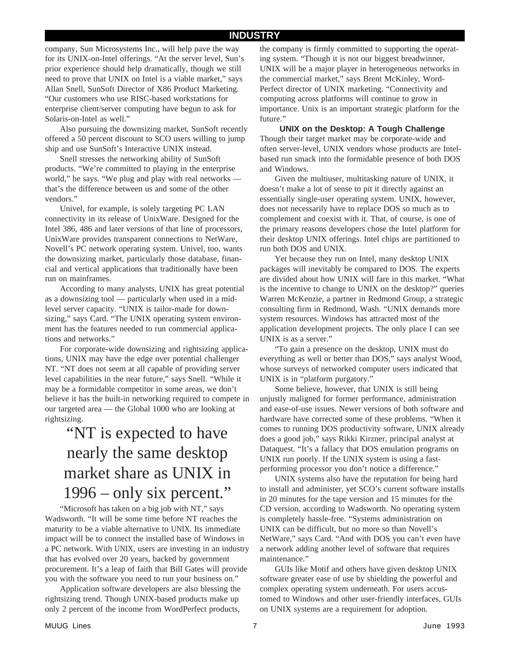company, Sun Microsystems Inc., will help pave the way for its UNIX-on-Intel offerings. "At the server level, Sun's prior experience should help dramatically, though we still need to prove that UNIX on Intel is a viable market," says Allan Snell, SunSoft Director of X86 Product Marketing. "Our customers who use RISC-based workstations for enterprise client/server computing have begun to ask for Solaris-on-Intel as well."

Also pursuing the downsizing market, SunSoft recently offered a 50 percent discount to SCO users willing to jump ship and use SunSoft's Interactive UNIX instead.

Snell stresses the networking ability of SunSoft products. "We're committed to playing in the enterprise world," he says. "We plug and play with real networks that's the difference between us and some of the other vendors."

Univel, for example, is solely targeting PC LAN connectivity in its release of UnixWare. Designed for the Intel 386, 486 and later versions of that line of processors, UnixWare provides transparent connections to NetWare, Novell's PC network operating system. Univel, too, wants the downsizing market, particularly those database, financial and vertical applications that traditionally have been run on mainframes.

According to many analysts, UNIX has great potential as a downsizing tool — particularly when used in a midlevel server capacity. "UNIX is tailor-made for downsizing," says Card. "The UNIX operating system environment has the features needed to run commercial applications and networks."

For corporate-wide downsizing and rightsizing applications, UNIX may have the edge over potential challenger NT. "NT does not seem at all capable of providing server level capabilities in the near future," says Snell. "While it may be a formidable competitor in some areas, we don't believe it has the built-in networking required to compete in our targeted area — the Global 1000 who are looking at rightsizing.

# "NT is expected to have nearly the same desktop market share as UNIX in 1996 – only six percent."

"Microsoft has taken on a big job with NT," says Wadsworth. "It will be some time before NT reaches the maturity to be a viable alternative to UNIX. Its immediate impact will be to connect the installed base of Windows in a PC network. With UNIX, users are investing in an industry that has evolved over 20 years, backed by government procurement. It's a leap of faith that Bill Gates will provide you with the software you need to run your business on."

Application software developers are also blessing the rightsizing trend. Though UNIX-based products make up only 2 percent of the income from WordPerfect products,

the company is firmly committed to supporting the operating system. "Though it is not our biggest breadwinner, UNIX will be a major player in heterogeneous networks in the commercial market," says Brent McKinley, Word-Perfect director of UNIX marketing. "Connectivity and computing across platforms will continue to grow in importance. Unix is an important strategic platform for the future."

**UNIX on the Desktop: A Tough Challenge** Though their target market may be corporate-wide and often server-level, UNIX vendors whose products are Intelbased run smack into the formidable presence of both DOS and Windows.

Given the multiuser, multitasking nature of UNIX, it doesn't make a lot of sense to pit it directly against an essentially single-user operating system. UNIX, however, does not necessarily have to replace DOS so much as to complement and coexist with it. That, of course, is one of the primary reasons developers chose the Intel platform for their desktop UNIX offerings. Intel chips are partitioned to run both DOS and UNIX.

Yet because they run on Intel, many desktop UNIX packages will inevitably be compared to DOS. The experts are divided about how UNIX will fare in this market. "What is the incentive to change to UNIX on the desktop?" queries Warren McKenzie, a partner in Redmond Group, a strategic consulting firm in Redmond, Wash. "UNIX demands more system resources. Windows has attracted most of the application development projects. The only place I can see UNIX is as a server."

"To gain a presence on the desktop, UNIX must do everything as well or better than DOS," says analyst Wood, whose surveys of networked computer users indicated that UNIX is in "platform purgatory."

Some believe, however, that UNIX is still being unjustly maligned for former performance, administration and ease-of-use issues. Newer versions of both software and hardware have corrected some of these problems. "When it comes to running DOS productivity software, UNIX already does a good job," says Rikki Kirzner, principal analyst at Dataquest. "It's a fallacy that DOS emulation programs on UNIX run poorly. If the UNIX system is using a fastperforming processor you don't notice a difference."

UNIX systems also have the reputation for being hard to install and administer, yet SCO's current software installs in 20 minutes for the tape version and 15 minutes for the CD version, according to Wadsworth. No operating system is completely hassle-free. "Systems administration on UNIX can be difficult, but no more so than Novell's NetWare," says Card. "And with DOS you can't even have a network adding another level of software that requires maintenance."

GUIs like Motif and others have given desktop UNIX software greater ease of use by shielding the powerful and complex operating system underneath. For users accustomed to Windows and other user-friendly interfaces, GUIs on UNIX systems are a requirement for adoption.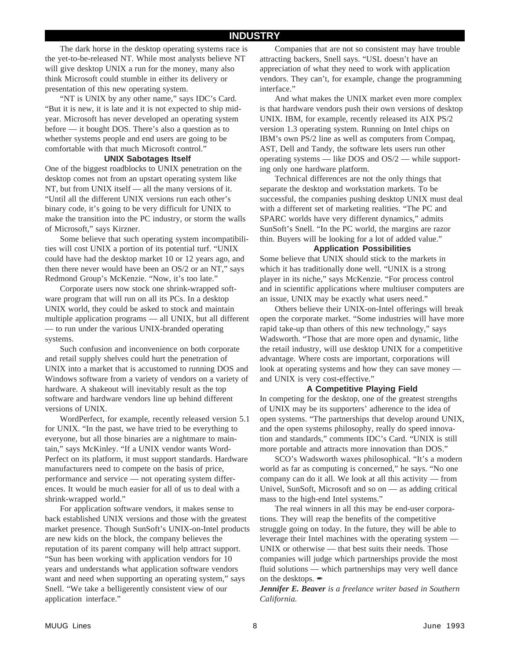The dark horse in the desktop operating systems race is the yet-to-be-released NT. While most analysts believe NT will give desktop UNIX a run for the money, many also think Microsoft could stumble in either its delivery or presentation of this new operating system.

"NT is UNIX by any other name," says IDC's Card. "But it is new, it is late and it is not expected to ship midyear. Microsoft has never developed an operating system before — it bought DOS. There's also a question as to whether systems people and end users are going to be comfortable with that much Microsoft control."

#### **UNIX Sabotages Itself**

One of the biggest roadblocks to UNIX penetration on the desktop comes not from an upstart operating system like NT, but from UNIX itself — all the many versions of it. "Until all the different UNIX versions run each other's binary code, it's going to be very difficult for UNIX to make the transition into the PC industry, or storm the walls of Microsoft," says Kirzner.

Some believe that such operating system incompatibilities will cost UNIX a portion of its potential turf. "UNIX could have had the desktop market 10 or 12 years ago, and then there never would have been an OS/2 or an NT," says Redmond Group's McKenzie. "Now, it's too late."

Corporate users now stock one shrink-wrapped software program that will run on all its PCs. In a desktop UNIX world, they could be asked to stock and maintain multiple application programs — all UNIX, but all different — to run under the various UNIX-branded operating systems.

Such confusion and inconvenience on both corporate and retail supply shelves could hurt the penetration of UNIX into a market that is accustomed to running DOS and Windows software from a variety of vendors on a variety of hardware. A shakeout will inevitably result as the top software and hardware vendors line up behind different versions of UNIX.

WordPerfect, for example, recently released version 5.1 for UNIX. "In the past, we have tried to be everything to everyone, but all those binaries are a nightmare to maintain," says McKinley. "If a UNIX vendor wants Word-Perfect on its platform, it must support standards. Hardware manufacturers need to compete on the basis of price, performance and service — not operating system differences. It would be much easier for all of us to deal with a shrink-wrapped world."

For application software vendors, it makes sense to back established UNIX versions and those with the greatest market presence. Though SunSoft's UNIX-on-Intel products are new kids on the block, the company believes the reputation of its parent company will help attract support. "Sun has been working with application vendors for 10 years and understands what application software vendors want and need when supporting an operating system," says Snell. "We take a belligerently consistent view of our application interface."

Companies that are not so consistent may have trouble attracting backers, Snell says. "USL doesn't have an appreciation of what they need to work with application vendors. They can't, for example, change the programming interface."

And what makes the UNIX market even more complex is that hardware vendors push their own versions of desktop UNIX. IBM, for example, recently released its AIX PS/2 version 1.3 operating system. Running on Intel chips on IBM's own PS/2 line as well as computers from Compaq, AST, Dell and Tandy, the software lets users run other operating systems — like DOS and OS/2 — while supporting only one hardware platform.

Technical differences are not the only things that separate the desktop and workstation markets. To be successful, the companies pushing desktop UNIX must deal with a different set of marketing realities. "The PC and SPARC worlds have very different dynamics," admits SunSoft's Snell. "In the PC world, the margins are razor thin. Buyers will be looking for a lot of added value."

#### **Application Possibilities**

Some believe that UNIX should stick to the markets in which it has traditionally done well. "UNIX is a strong player in its niche," says McKenzie. "For process control and in scientific applications where multiuser computers are an issue, UNIX may be exactly what users need."

Others believe their UNIX-on-Intel offerings will break open the corporate market. "Some industries will have more rapid take-up than others of this new technology," says Wadsworth. "Those that are more open and dynamic, lithe the retail industry, will use desktop UNIX for a competitive advantage. Where costs are important, corporations will look at operating systems and how they can save money and UNIX is very cost-effective."

### **A Competitive Playing Field**

In competing for the desktop, one of the greatest strengths of UNIX may be its supporters' adherence to the idea of open systems. "The partnerships that develop around UNIX, and the open systems philosophy, really do speed innovation and standards," comments IDC's Card. "UNIX is still more portable and attracts more innovation than DOS."

SCO's Wadsworth waxes philosophical. "It's a modern world as far as computing is concerned," he says. "No one company can do it all. We look at all this activity — from Univel, SunSoft, Microsoft and so on — as adding critical mass to the high-end Intel systems."

The real winners in all this may be end-user corporations. They will reap the benefits of the competitive struggle going on today. In the future, they will be able to leverage their Intel machines with the operating system — UNIX or otherwise — that best suits their needs. Those companies will judge which partnerships provide the most fluid solutions — which partnerships may very well dance on the desktops.  $\hat{Z}$ 

*Jennifer E. Beaver is a freelance writer based in Southern California.*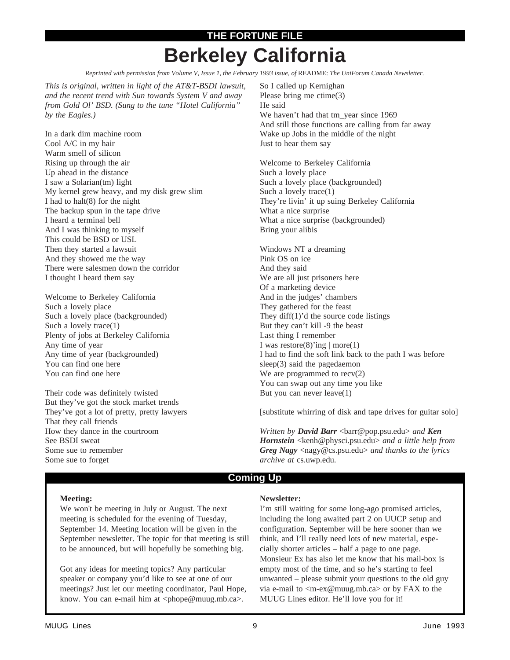# **THE FORTUNE FILE Berkeley California**

*Reprinted with permission from Volume V, Issue 1, the February 1993 issue, of* README: *The UniForum Canada Newsletter.*

*This is original, written in light of the AT&T-BSDI lawsuit, and the recent trend with Sun towards System V and away from Gold Ol' BSD. (Sung to the tune "Hotel California" by the Eagles.)*

In a dark dim machine room Cool A/C in my hair Warm smell of silicon Rising up through the air Up ahead in the distance I saw a Solarian(tm) light My kernel grew heavy, and my disk grew slim I had to halt(8) for the night The backup spun in the tape drive I heard a terminal bell And I was thinking to myself This could be BSD or USL Then they started a lawsuit And they showed me the way There were salesmen down the corridor I thought I heard them say

Welcome to Berkeley California Such a lovely place Such a lovely place (backgrounded) Such a lovely trace(1) Plenty of jobs at Berkeley California Any time of year Any time of year (backgrounded) You can find one here You can find one here

Their code was definitely twisted But they've got the stock market trends They've got a lot of pretty, pretty lawyers That they call friends How they dance in the courtroom See BSDI sweat Some sue to remember Some sue to forget

So I called up Kernighan Please bring me ctime(3) He said We haven't had that tm\_year since 1969 And still those functions are calling from far away Wake up Jobs in the middle of the night Just to hear them say

Welcome to Berkeley California Such a lovely place Such a lovely place (backgrounded) Such a lovely trace(1) They're livin' it up suing Berkeley California What a nice surprise What a nice surprise (backgrounded) Bring your alibis

Windows NT a dreaming Pink OS on ice And they said We are all just prisoners here Of a marketing device And in the judges' chambers They gathered for the feast They diff(1)'d the source code listings But they can't kill -9 the beast Last thing I remember I was restore $(8)$ 'ing | more $(1)$ I had to find the soft link back to the path I was before sleep(3) said the pagedaemon We are programmed to recv(2) You can swap out any time you like But you can never leave(1)

[substitute whirring of disk and tape drives for guitar solo]

*Written by David Barr* <br/>barr@pop.psu.edu> and *Ken Hornstein* <kenh@physci.psu.edu> *and a little help from Greg Nagy* <nagy@cs.psu.edu> *and thanks to the lyrics archive at* cs.uwp.edu*.*

### **Coming Up**

#### **Meeting:**

We won't be meeting in July or August. The next meeting is scheduled for the evening of Tuesday, September 14. Meeting location will be given in the September newsletter. The topic for that meeting is still to be announced, but will hopefully be something big.

Got any ideas for meeting topics? Any particular speaker or company you'd like to see at one of our meetings? Just let our meeting coordinator, Paul Hope, know. You can e-mail him at <phope@muug.mb.ca>.

### **Newsletter:**

I'm still waiting for some long-ago promised articles, including the long awaited part 2 on UUCP setup and configuration. September will be here sooner than we think, and I'll really need lots of new material, especially shorter articles – half a page to one page. Monsieur Ex has also let me know that his mail-box is empty most of the time, and so he's starting to feel unwanted – please submit your questions to the old guy via e-mail to <m-ex@muug.mb.ca> or by FAX to the MUUG Lines editor. He'll love you for it!